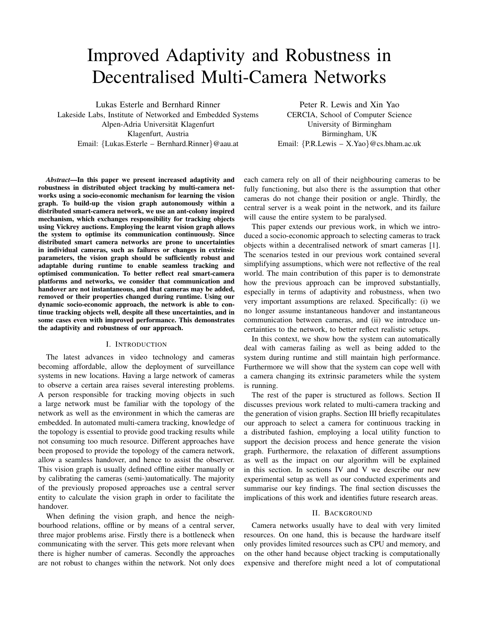# Improved Adaptivity and Robustness in Decentralised Multi-Camera Networks

Lukas Esterle and Bernhard Rinner

Lakeside Labs, Institute of Networked and Embedded Systems Alpen-Adria Universität Klagenfurt Klagenfurt, Austria Email: {Lukas.Esterle – Bernhard.Rinner}@aau.at

Peter R. Lewis and Xin Yao CERCIA, School of Computer Science University of Birmingham Birmingham, UK Email: {P.R.Lewis – X.Yao}@cs.bham.ac.uk

*Abstract*—In this paper we present increased adaptivity and robustness in distributed object tracking by multi-camera networks using a socio-economic mechanism for learning the vision graph. To build-up the vision graph autonomously within a distributed smart-camera network, we use an ant-colony inspired mechanism, which exchanges responsibility for tracking objects using Vickrey auctions. Employing the learnt vision graph allows the system to optimise its communication continuously. Since distributed smart camera networks are prone to uncertainties in individual cameras, such as failures or changes in extrinsic parameters, the vision graph should be sufficiently robust and adaptable during runtime to enable seamless tracking and optimised communication. To better reflect real smart-camera platforms and networks, we consider that communication and handover are not instantaneous, and that cameras may be added, removed or their properties changed during runtime. Using our dynamic socio-economic approach, the network is able to continue tracking objects well, despite all these uncertainties, and in some cases even with improved performance. This demonstrates the adaptivity and robustness of our approach.

## I. INTRODUCTION

The latest advances in video technology and cameras becoming affordable, allow the deployment of surveillance systems in new locations. Having a large network of cameras to observe a certain area raises several interesting problems. A person responsible for tracking moving objects in such a large network must be familiar with the topology of the network as well as the environment in which the cameras are embedded. In automated multi-camera tracking, knowledge of the topology is essential to provide good tracking results while not consuming too much resource. Different approaches have been proposed to provide the topology of the camera network, allow a seamless handover, and hence to assist the observer. This vision graph is usually defined offline either manually or by calibrating the cameras (semi-)automatically. The majority of the previously proposed approaches use a central server entity to calculate the vision graph in order to facilitate the handover.

When defining the vision graph, and hence the neighbourhood relations, offline or by means of a central server, three major problems arise. Firstly there is a bottleneck when communicating with the server. This gets more relevant when there is higher number of cameras. Secondly the approaches are not robust to changes within the network. Not only does

each camera rely on all of their neighbouring cameras to be fully functioning, but also there is the assumption that other cameras do not change their position or angle. Thirdly, the central server is a weak point in the network, and its failure will cause the entire system to be paralysed.

This paper extends our previous work, in which we introduced a socio-economic approach to selecting cameras to track objects within a decentralised network of smart cameras [1]. The scenarios tested in our previous work contained several simplifying assumptions, which were not reflective of the real world. The main contribution of this paper is to demonstrate how the previous approach can be improved substantially, especially in terms of adaptivity and robustness, when two very important assumptions are relaxed. Specifically: (i) we no longer assume instantaneous handover and instantaneous communication between cameras, and (ii) we introduce uncertainties to the network, to better reflect realistic setups.

In this context, we show how the system can automatically deal with cameras failing as well as being added to the system during runtime and still maintain high performance. Furthermore we will show that the system can cope well with a camera changing its extrinsic parameters while the system is running.

The rest of the paper is structured as follows. Section II discusses previous work related to multi-camera tracking and the generation of vision graphs. Section III briefly recapitulates our approach to select a camera for continuous tracking in a distributed fashion, employing a local utility function to support the decision process and hence generate the vision graph. Furthermore, the relaxation of different assumptions as well as the impact on our algorithm will be explained in this section. In sections IV and V we describe our new experimental setup as well as our conducted experiments and summarise our key findings. The final section discusses the implications of this work and identifies future research areas.

#### II. BACKGROUND

Camera networks usually have to deal with very limited resources. On one hand, this is because the hardware itself only provides limited resources such as CPU and memory, and on the other hand because object tracking is computationally expensive and therefore might need a lot of computational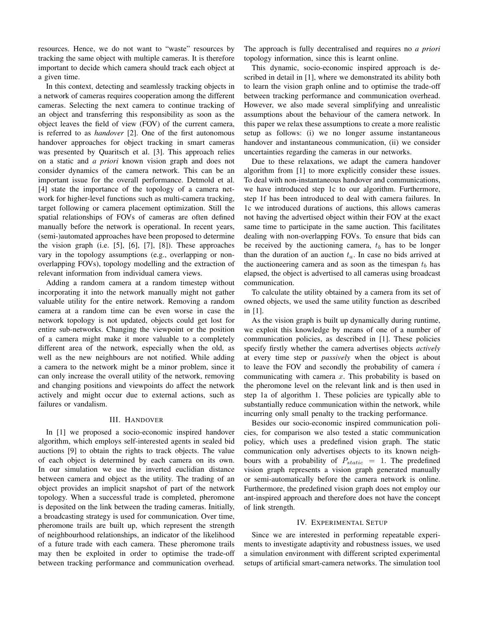resources. Hence, we do not want to "waste" resources by tracking the same object with multiple cameras. It is therefore important to decide which camera should track each object at a given time.

In this context, detecting and seamlessly tracking objects in a network of cameras requires cooperation among the different cameras. Selecting the next camera to continue tracking of an object and transferring this responsibility as soon as the object leaves the field of view (FOV) of the current camera, is referred to as *handover* [2]. One of the first autonomous handover approaches for object tracking in smart cameras was presented by Quaritsch et al. [3]. This approach relies on a static and *a priori* known vision graph and does not consider dynamics of the camera network. This can be an important issue for the overall performance. Detmold et al. [4] state the importance of the topology of a camera network for higher-level functions such as multi-camera tracking, target following or camera placement optimization. Still the spatial relationships of FOVs of cameras are often defined manually before the network is operational. In recent years, (semi-)automated approaches have been proposed to determine the vision graph (i.e. [5], [6], [7], [8]). These approaches vary in the topology assumptions (e.g., overlapping or nonoverlapping FOVs), topology modelling and the extraction of relevant information from individual camera views.

Adding a random camera at a random timestep without incorporating it into the network manually might not gather valuable utility for the entire network. Removing a random camera at a random time can be even worse in case the network topology is not updated, objects could get lost for entire sub-networks. Changing the viewpoint or the position of a camera might make it more valuable to a completely different area of the network, especially when the old, as well as the new neighbours are not notified. While adding a camera to the network might be a minor problem, since it can only increase the overall utility of the network, removing and changing positions and viewpoints do affect the network actively and might occur due to external actions, such as failures or vandalism.

### III. HANDOVER

In [1] we proposed a socio-economic inspired handover algorithm, which employs self-interested agents in sealed bid auctions [9] to obtain the rights to track objects. The value of each object is determined by each camera on its own. In our simulation we use the inverted euclidian distance between camera and object as the utility. The trading of an object provides an implicit snapshot of part of the network topology. When a successful trade is completed, pheromone is deposited on the link between the trading cameras. Initially, a broadcasting strategy is used for communication. Over time, pheromone trails are built up, which represent the strength of neighbourhood relationships, an indicator of the likelihood of a future trade with each camera. These pheromone trails may then be exploited in order to optimise the trade-off between tracking performance and communication overhead. The approach is fully decentralised and requires no *a priori* topology information, since this is learnt online.

This dynamic, socio-economic inspired approach is described in detail in [1], where we demonstrated its ability both to learn the vision graph online and to optimise the trade-off between tracking performance and communication overhead. However, we also made several simplifying and unrealistic assumptions about the behaviour of the camera network. In this paper we relax these assumptions to create a more realistic setup as follows: (i) we no longer assume instantaneous handover and instantaneous communication, (ii) we consider uncertainties regarding the cameras in our networks.

Due to these relaxations, we adapt the camera handover algorithm from [1] to more explicitly consider these issues. To deal with non-instantaneous handover and communications, we have introduced step 1c to our algorithm. Furthermore, step 1f has been introduced to deal with camera failures. In 1c we introduced durations of auctions, this allows cameras not having the advertised object within their FOV at the exact same time to participate in the same auction. This facilitates dealing with non-overlapping FOVs. To ensure that bids can be received by the auctioning camera,  $t_b$  has to be longer than the duration of an auction  $t_a$ . In case no bids arrived at the auctioneering camera and as soon as the timespan  $t_b$  has elapsed, the object is advertised to all cameras using broadcast communication.

To calculate the utility obtained by a camera from its set of owned objects, we used the same utility function as described in [1].

As the vision graph is built up dynamically during runtime, we exploit this knowledge by means of one of a number of communication policies, as described in [1]. These policies specify firstly whether the camera advertises objects *actively* at every time step or *passively* when the object is about to leave the FOV and secondly the probability of camera  $i$ communicating with camera  $x$ . This probability is based on the pheromone level on the relevant link and is then used in step 1a of algorithm 1. These policies are typically able to substantially reduce communication within the network, while incurring only small penalty to the tracking performance.

Besides our socio-economic inspired communication policies, for comparison we also tested a static communication policy, which uses a predefined vision graph. The static communication only advertises objects to its known neighbours with a probability of  $P_{static} = 1$ . The predefined vision graph represents a vision graph generated manually or semi-automatically before the camera network is online. Furthermore, the predefined vision graph does not employ our ant-inspired approach and therefore does not have the concept of link strength.

## IV. EXPERIMENTAL SETUP

Since we are interested in performing repeatable experiments to investigate adaptivity and robustness issues, we used a simulation environment with different scripted experimental setups of artificial smart-camera networks. The simulation tool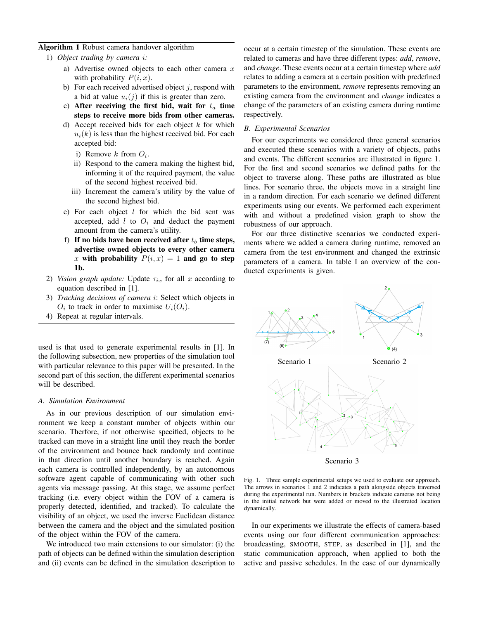### Algorithm 1 Robust camera handover algorithm

- 1) *Object trading by camera* i*:*
	- a) Advertise owned objects to each other camera  $x$ with probability  $P(i, x)$ .
	- b) For each received advertised object  $j$ , respond with a bid at value  $u_i(i)$  if this is greater than zero.
	- c) After receiving the first bid, wait for  $t_a$  time steps to receive more bids from other cameras.
	- d) Accept received bids for each object  $k$  for which  $u_i(k)$  is less than the highest received bid. For each accepted bid:
		- i) Remove  $k$  from  $O_i$ .
		- ii) Respond to the camera making the highest bid, informing it of the required payment, the value of the second highest received bid.
		- iii) Increment the camera's utility by the value of the second highest bid.
	- e) For each object  $l$  for which the bid sent was accepted, add  $l$  to  $O_i$  and deduct the payment amount from the camera's utility.
	- f) If no bids have been received after  $t_b$  time steps, advertise owned objects to every other camera x with probability  $P(i, x) = 1$  and go to step 1b.
- 2) *Vision graph update:* Update  $\tau_{ix}$  for all x according to equation described in [1].
- 3) *Tracking decisions of camera* i: Select which objects in  $O_i$  to track in order to maximise  $U_i(O_i)$ .
- 4) Repeat at regular intervals.

used is that used to generate experimental results in [1]. In the following subsection, new properties of the simulation tool with particular relevance to this paper will be presented. In the second part of this section, the different experimental scenarios will be described.

### *A. Simulation Environment*

As in our previous description of our simulation environment we keep a constant number of objects within our scenario. Therfore, if not otherwise specified, objects to be tracked can move in a straight line until they reach the border of the environment and bounce back randomly and continue in that direction until another boundary is reached. Again each camera is controlled independently, by an autonomous software agent capable of communicating with other such agents via message passing. At this stage, we assume perfect tracking (i.e. every object within the FOV of a camera is properly detected, identified, and tracked). To calculate the visibility of an object, we used the inverse Euclidean distance between the camera and the object and the simulated position of the object within the FOV of the camera.

We introduced two main extensions to our simulator: (i) the path of objects can be defined within the simulation description and (ii) events can be defined in the simulation description to occur at a certain timestep of the simulation. These events are related to cameras and have three different types: *add*, *remove*, and *change*. These events occur at a certain timestep where *add* relates to adding a camera at a certain position with predefined parameters to the environment, *remove* represents removing an existing camera from the environment and *change* indicates a change of the parameters of an existing camera during runtime respectively.

### *B. Experimental Scenarios*

For our experiments we considered three general scenarios and executed these scenarios with a variety of objects, paths and events. The different scenarios are illustrated in figure 1. For the first and second scenarios we defined paths for the object to traverse along. These paths are illustrated as blue lines. For scenario three, the objects move in a straight line in a random direction. For each scenario we defined different experiments using our events. We performed each experiment with and without a predefined vision graph to show the robustness of our approach.

For our three distinctive scenarios we conducted experiments where we added a camera during runtime, removed an camera from the test environment and changed the extrinsic parameters of a camera. In table I an overview of the conducted experiments is given.



Scenario 3

Fig. 1. Three sample experimental setups we used to evaluate our approach. The arrows in scenarios 1 and 2 indicates a path alongside objects traversed during the experimental run. Numbers in brackets indicate cameras not being in the initial network but were added or moved to the illustrated location dynamically.

In our experiments we illustrate the effects of camera-based events using our four different communication approaches: broadcasting, SMOOTH, STEP, as described in [1], and the static communication approach, when applied to both the active and passive schedules. In the case of our dynamically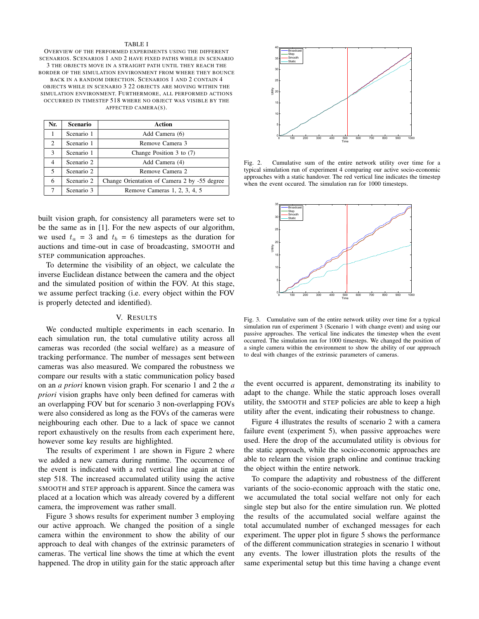#### TABLE I

OVERVIEW OF THE PERFORMED EXPERIMENTS USING THE DIFFERENT SCENARIOS. SCENARIOS 1 AND 2 HAVE FIXED PATHS WHILE IN SCENARIO 3 THE OBJECTS MOVE IN A STRAIGHT PATH UNTIL THEY REACH THE BORDER OF THE SIMULATION ENVIRONMENT FROM WHERE THEY BOUNCE BACK IN A RANDOM DIRECTION. SCENARIOS 1 AND 2 CONTAIN 4 OBJECTS WHILE IN SCENARIO 3 22 OBJECTS ARE MOVING WITHIN THE SIMULATION ENVIRONMENT. FURTHERMORE, ALL PERFORMED ACTIONS OCCURRED IN TIMESTEP 518 WHERE NO OBJECT WAS VISIBLE BY THE AFFECTED CAMERA(S).

| Nr. | <b>Scenario</b> | Action                                       |
|-----|-----------------|----------------------------------------------|
|     | Scenario 1      | Add Camera (6)                               |
| 2   | Scenario 1      | Remove Camera 3                              |
| 3   | Scenario 1      | Change Position $3$ to $(7)$                 |
| 4   | Scenario 2      | Add Camera (4)                               |
| 5   | Scenario 2      | Remove Camera 2                              |
| 6   | Scenario 2      | Change Orientation of Camera 2 by -55 degree |
|     | Scenario 3      | Remove Cameras 1, 2, 3, 4, 5                 |

built vision graph, for consistency all parameters were set to be the same as in [1]. For the new aspects of our algorithm, we used  $t_a = 3$  and  $t_b = 6$  timesteps as the duration for auctions and time-out in case of broadcasting, SMOOTH and STEP communication approaches.

To determine the visibility of an object, we calculate the inverse Euclidean distance between the camera and the object and the simulated position of within the FOV. At this stage, we assume perfect tracking (i.e. every object within the FOV is properly detected and identified).

#### V. RESULTS

We conducted multiple experiments in each scenario. In each simulation run, the total cumulative utility across all cameras was recorded (the social welfare) as a measure of tracking performance. The number of messages sent between cameras was also measured. We compared the robustness we compare our results with a static communication policy based on an *a priori* known vision graph. For scenario 1 and 2 the *a priori* vision graphs have only been defined for cameras with an overlapping FOV but for scenario 3 non-overlapping FOVs were also considered as long as the FOVs of the cameras were neighbouring each other. Due to a lack of space we cannot report exhaustively on the results from each experiment here, however some key results are highlighted.

The results of experiment 1 are shown in Figure 2 where we added a new camera during runtime. The occurrence of the event is indicated with a red vertical line again at time step 518. The increased accumulated utility using the active SMOOTH and STEP approach is apparent. Since the camera was placed at a location which was already covered by a different camera, the improvement was rather small.

Figure 3 shows results for experiment number 3 employing our active approach. We changed the position of a single camera within the environment to show the ability of our approach to deal with changes of the extrinsic parameters of cameras. The vertical line shows the time at which the event happened. The drop in utility gain for the static approach after



Fig. 2. Cumulative sum of the entire network utility over time for a typical simulation run of experiment 4 comparing our active socio-economic approaches with a static handover. The red vertical line indicates the timestep when the event occured. The simulation ran for 1000 timesteps.



Fig. 3. Cumulative sum of the entire network utility over time for a typical simulation run of experiment 3 (Scenario 1 with change event) and using our passive approaches. The vertical line indicates the timestep when the event occurred. The simulation ran for 1000 timesteps. We changed the position of a single camera within the environment to show the ability of our approach to deal with changes of the extrinsic parameters of cameras.

the event occurred is apparent, demonstrating its inability to adapt to the change. While the static approach loses overall utility, the SMOOTH and STEP policies are able to keep a high utility after the event, indicating their robustness to change.

Figure 4 illustrates the results of scenario 2 with a camera failure event (experiment 5), when passive approaches were used. Here the drop of the accumulated utility is obvious for the static approach, while the socio-economic approaches are able to relearn the vision graph online and continue tracking the object within the entire network.

To compare the adaptivity and robustness of the different variants of the socio-economic approach with the static one, we accumulated the total social welfare not only for each single step but also for the entire simulation run. We plotted the results of the accumulated social welfare against the total accumulated number of exchanged messages for each experiment. The upper plot in figure 5 shows the performance of the different communication strategies in scenario 1 without any events. The lower illustration plots the results of the same experimental setup but this time having a change event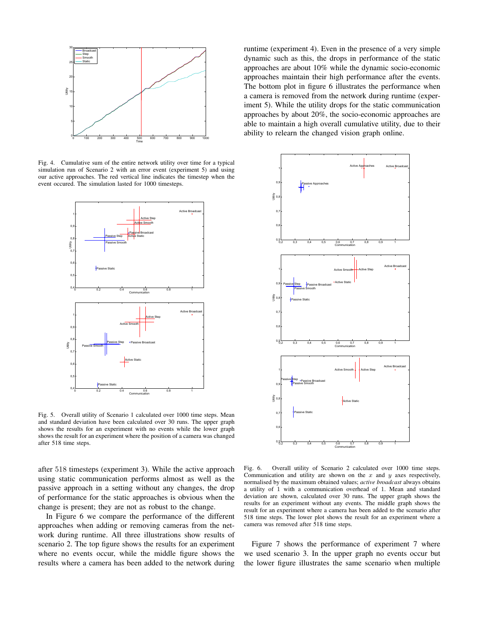

Fig. 4. Cumulative sum of the entire network utility over time for a typical simulation run of Scenario 2 with an error event (experiment 5) and using our active approaches. The red vertical line indicates the timestep when the event occured. The simulation lasted for 1000 timesteps.



Fig. 5. Overall utility of Scenario 1 calculated over 1000 time steps. Mean and standard deviation have been calculated over 30 runs. The upper graph shows the results for an experiment with no events while the lower graph shows the result for an experiment where the position of a camera was changed after 518 time steps.

after 518 timesteps (experiment 3). While the active approach using static communication performs almost as well as the passive approach in a setting without any changes, the drop of performance for the static approaches is obvious when the change is present; they are not as robust to the change.

In Figure 6 we compare the performance of the different approaches when adding or removing cameras from the network during runtime. All three illustrations show results of scenario 2. The top figure shows the results for an experiment where no events occur, while the middle figure shows the results where a camera has been added to the network during

runtime (experiment 4). Even in the presence of a very simple dynamic such as this, the drops in performance of the static approaches are about 10% while the dynamic socio-economic approaches maintain their high performance after the events. The bottom plot in figure 6 illustrates the performance when a camera is removed from the network during runtime (experiment 5). While the utility drops for the static communication approaches by about 20%, the socio-economic approaches are able to maintain a high overall cumulative utility, due to their ability to relearn the changed vision graph online.



Fig. 6. Overall utility of Scenario 2 calculated over 1000 time steps. Communication and utility are shown on the  $x$  and  $y$  axes respectively, normalised by the maximum obtained values; *active broadcast* always obtains a utility of 1 with a communication overhead of 1. Mean and standard deviation are shown, calculated over 30 runs. The upper graph shows the results for an experiment without any events. The middle graph shows the result for an experiment where a camera has been added to the scenario after 518 time steps. The lower plot shows the result for an experiment where a camera was removed after 518 time steps.

Figure 7 shows the performance of experiment 7 where we used scenario 3. In the upper graph no events occur but the lower figure illustrates the same scenario when multiple